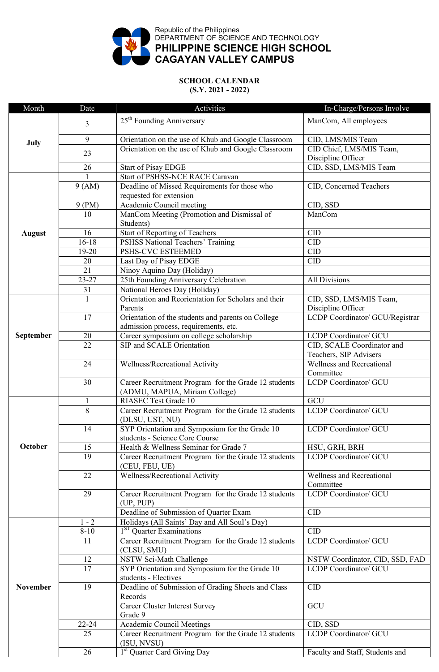

## **SCHOOL CALENDAR (S.Y. 2021 - 2022)**

| Month           | Date            | Activities                                                                                  | In-Charge/Persons Involve                            |
|-----------------|-----------------|---------------------------------------------------------------------------------------------|------------------------------------------------------|
| July            | 3               | 25 <sup>th</sup> Founding Anniversary                                                       | ManCom, All employees                                |
|                 | 9               | Orientation on the use of Khub and Google Classroom                                         | CID, LMS/MIS Team                                    |
|                 | 23              | Orientation on the use of Khub and Google Classroom                                         | CID Chief, LMS/MIS Team,<br>Discipline Officer       |
|                 | 26              | <b>Start of Pisay EDGE</b>                                                                  | CID, SSD, LMS/MIS Team                               |
|                 |                 | Start of PSHSS-NCE RACE Caravan                                                             |                                                      |
|                 | 9 (AM)          | Deadline of Missed Requirements for those who<br>requested for extension                    | CID, Concerned Teachers                              |
|                 | 9 (PM)          | Academic Council meeting                                                                    | CID, SSD                                             |
| <b>August</b>   | 10              | ManCom Meeting (Promotion and Dismissal of<br>Students)                                     | ManCom                                               |
|                 | 16              | Start of Reporting of Teachers                                                              | <b>CID</b>                                           |
|                 | $16 - 18$       | PSHSS National Teachers' Training                                                           | <b>CID</b>                                           |
|                 | 19-20           | PSHS-CVC ESTEEMED                                                                           | <b>CID</b>                                           |
|                 | $20\,$          | Last Day of Pisay EDGE                                                                      | CID                                                  |
|                 | $\overline{21}$ | Ninoy Aquino Day (Holiday)                                                                  |                                                      |
|                 | $23 - 27$       | 25th Founding Anniversary Celebration                                                       | <b>All Divisions</b>                                 |
|                 | 31              | National Heroes Day (Holiday)                                                               |                                                      |
|                 | 1               | Orientation and Reorientation for Scholars and their<br>Parents                             | CID, SSD, LMS/MIS Team,<br>Discipline Officer        |
|                 | 17              | Orientation of the students and parents on College<br>admission process, requirements, etc. | LCDP Coordinator/ GCU/Registrar                      |
| September       | 20              | Career symposium on college scholarship                                                     | LCDP Coordinator/ GCU                                |
|                 | 22              | SIP and SCALE Orientation                                                                   | CID, SCALE Coordinator and<br>Teachers, SIP Advisers |
|                 | 24              | Wellness/Recreational Activity                                                              | Wellness and Recreational<br>Committee               |
|                 | 30              | Career Recruitment Program for the Grade 12 students<br>(ADMU, MAPUA, Miriam College)       | <b>LCDP</b> Coordinator/ GCU                         |
|                 | $\mathbf{1}$    | <b>RIASEC Test Grade 10</b>                                                                 | GCU                                                  |
|                 | $\overline{8}$  | Career Recruitment Program for the Grade 12 students<br>(DLSU, UST, NU)                     | <b>LCDP</b> Coordinator/ GCU                         |
|                 | 14              | SYP Orientation and Symposium for the Grade 10<br>students - Science Core Course            | <b>LCDP</b> Coordinator/ GCU                         |
| October         | 15              | Health & Wellness Seminar for Grade 7                                                       | HSU, GRH, BRH                                        |
|                 | 19              | Career Recruitment Program for the Grade 12 students<br>(CEU, FEU, UE)                      | <b>LCDP</b> Coordinator/ GCU                         |
|                 | 22              | Wellness/Recreational Activity                                                              | <b>Wellness and Recreational</b><br>Committee        |
|                 | 29              | Career Recruitment Program for the Grade 12 students<br>(UP, PUP)                           | <b>LCDP</b> Coordinator/ GCU                         |
|                 |                 | Deadline of Submission of Quarter Exam                                                      | <b>CID</b>                                           |
| <b>November</b> | $1 - 2$         | Holidays (All Saints' Day and All Soul's Day)                                               |                                                      |
|                 | $8 - 10$        | 1 <sup>ST</sup> Quarter Examinations                                                        | CID                                                  |
|                 | 11              | Career Recruitment Program for the Grade 12 students<br>(CLSU, SMU)                         | <b>LCDP</b> Coordinator/ GCU                         |
|                 | 12              | NSTW Sci-Math Challenge                                                                     | NSTW Coordinator, CID, SSD, FAD                      |
|                 | 17              | SYP Orientation and Symposium for the Grade 10<br>students - Electives                      | <b>LCDP</b> Coordinator/ GCU                         |
|                 | 19              | Deadline of Submission of Grading Sheets and Class<br>Records                               | <b>CID</b>                                           |
|                 |                 | Career Cluster Interest Survey<br>Grade 9                                                   | GCU                                                  |
|                 | $22 - 24$       | <b>Academic Council Meetings</b>                                                            | CID, SSD                                             |
|                 | 25              | Career Recruitment Program for the Grade 12 students<br>(ISU, NVSU)                         | LCDP Coordinator/ GCU                                |
|                 | 26              | 1 <sup>st</sup> Quarter Card Giving Day                                                     | Faculty and Staff, Students and                      |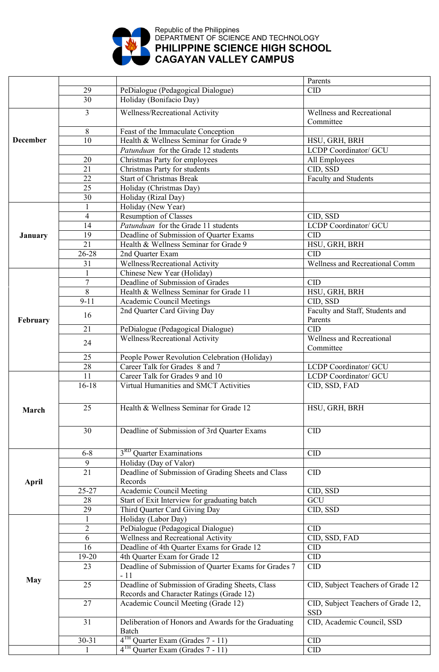

## Republic of the Philippines DEPARTMENT OF SCIENCE AND TECHNOLOGY **PHILIPPINE SCIENCE HIGH SCHOOL CAGAYAN VALLEY CAMPUS**

|                 |                 |                                                      | Parents                                       |
|-----------------|-----------------|------------------------------------------------------|-----------------------------------------------|
|                 | 29              | PeDialogue (Pedagogical Dialogue)                    | <b>CID</b>                                    |
|                 | 30              | Holiday (Bonifacio Day)                              |                                               |
|                 | $\overline{3}$  | Wellness/Recreational Activity                       | <b>Wellness and Recreational</b><br>Committee |
|                 | 8               | Feast of the Immaculate Conception                   |                                               |
| <b>December</b> | 10              | Health & Wellness Seminar for Grade 9                | HSU, GRH, BRH                                 |
|                 |                 | Patunduan for the Grade 12 students                  | LCDP Coordinator/ GCU                         |
|                 | 20              | Christmas Party for employees                        | All Employees                                 |
|                 | 21              | Christmas Party for students                         | CID, SSD                                      |
|                 | 22              | <b>Start of Christmas Break</b>                      | Faculty and Students                          |
|                 |                 |                                                      |                                               |
|                 | 25              | Holiday (Christmas Day)                              |                                               |
|                 | 30              | Holiday (Rizal Day)                                  |                                               |
|                 |                 | Holiday (New Year)                                   |                                               |
|                 | $\overline{4}$  | <b>Resumption of Classes</b>                         | CID, SSD                                      |
|                 | 14              | Patunduan for the Grade 11 students                  | <b>LCDP</b> Coordinator/ GCU                  |
| <b>January</b>  | 19              | Deadline of Submission of Quarter Exams              | CID                                           |
|                 | $\overline{21}$ | Health & Wellness Seminar for Grade 9                | HSU, GRH, BRH                                 |
|                 | 26-28           | 2nd Quarter Exam                                     | <b>CID</b>                                    |
|                 | 31              | Wellness/Recreational Activity                       | <b>Wellness and Recreational Comm</b>         |
|                 |                 | Chinese New Year (Holiday)                           |                                               |
|                 | $\overline{7}$  | Deadline of Submission of Grades                     | <b>CID</b>                                    |
|                 | 8               | Health & Wellness Seminar for Grade 11               | HSU, GRH, BRH                                 |
|                 | $9 - 11$        | <b>Academic Council Meetings</b>                     | CID, SSD                                      |
|                 |                 | 2nd Quarter Card Giving Day                          | Faculty and Staff, Students and               |
| February        | 16              |                                                      | Parents                                       |
|                 | 21              | PeDialogue (Pedagogical Dialogue)                    | <b>CID</b>                                    |
|                 |                 | Wellness/Recreational Activity                       | <b>Wellness and Recreational</b>              |
|                 | 24              |                                                      | Committee                                     |
|                 | 25              | People Power Revolution Celebration (Holiday)        |                                               |
|                 | 28              | Career Talk for Grades 8 and 7                       | <b>LCDP</b> Coordinator/ GCU                  |
|                 | 11              | Career Talk for Grades 9 and 10                      | <b>LCDP</b> Coordinator/ GCU                  |
|                 | $16 - 18$       | Virtual Humanities and SMCT Activities               | CID, SSD, FAD                                 |
|                 |                 |                                                      |                                               |
|                 |                 |                                                      |                                               |
| March           | 25              | Health & Wellness Seminar for Grade 12               | HSU, GRH, BRH                                 |
|                 |                 |                                                      |                                               |
|                 | 30              | Deadline of Submission of 3rd Quarter Exams          | <b>CID</b>                                    |
|                 |                 |                                                      |                                               |
|                 | $6 - 8$         | 3 <sup>RD</sup> Quarter Examinations                 | <b>CID</b>                                    |
|                 | 9               | Holiday (Day of Valor)                               |                                               |
|                 | 21              | Deadline of Submission of Grading Sheets and Class   | <b>CID</b>                                    |
|                 |                 |                                                      |                                               |
| <b>April</b>    | 25-27           | Records<br><b>Academic Council Meeting</b>           |                                               |
|                 |                 |                                                      | CID, SSD<br>GCU                               |
|                 | 28              | Start of Exit Interview for graduating batch         |                                               |
|                 | 29              | Third Quarter Card Giving Day                        | CID, SSD                                      |
|                 |                 | Holiday (Labor Day)                                  |                                               |
|                 | $\overline{2}$  | PeDialogue (Pedagogical Dialogue)                    | <b>CID</b>                                    |
|                 | 6               | Wellness and Recreational Activity                   | CID, SSD, FAD                                 |
|                 | 16              | Deadline of 4th Quarter Exams for Grade 12           | <b>CID</b>                                    |
|                 | 19-20           | 4th Quarter Exam for Grade 12                        | CID                                           |
|                 | 23              | Deadline of Submission of Quarter Exams for Grades 7 | CID                                           |
| <b>May</b>      |                 | $-11$                                                |                                               |
|                 | 25              | Deadline of Submission of Grading Sheets, Class      | CID, Subject Teachers of Grade 12             |
|                 |                 | Records and Character Ratings (Grade 12)             |                                               |
|                 | 27              | Academic Council Meeting (Grade 12)                  | CID, Subject Teachers of Grade 12,            |
|                 |                 |                                                      | <b>SSD</b>                                    |
|                 | 31              | Deliberation of Honors and Awards for the Graduating | CID, Academic Council, SSD                    |
|                 |                 | Batch                                                |                                               |
|                 | $30 - 31$       | 4 <sup>TH</sup> Quarter Exam (Grades 7 - 11)         | CID                                           |
|                 |                 | $4TH$ Quarter Exam (Grades 7 - 11)                   | CID                                           |